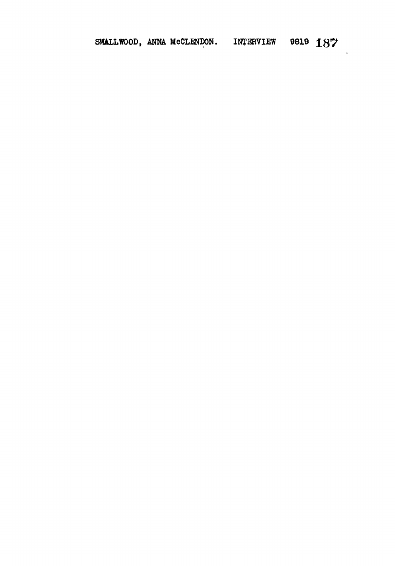## SMALLWOOD, ANNA MCCLENDON. INTERVIEW 9819 187

 $\overline{\phantom{a}}$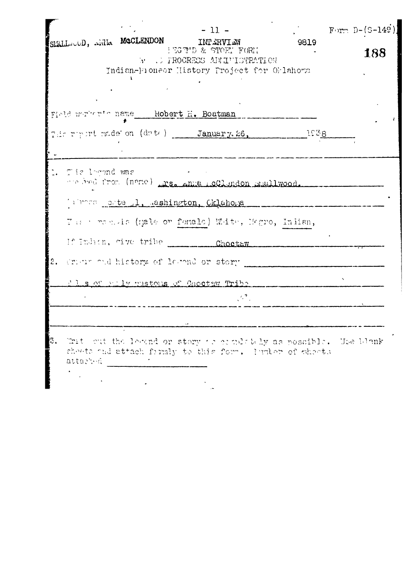|    | $-11 -$<br>SEALL OD, REALL MOCLENDON INFERVIEW<br>9819<br>HEGTID & STOFT FORT<br>WELL FROGRESS ADMITISTRATION<br>Indian-Proneor History Project for Orlahoma | Form $D-(S-149)$<br>188 |
|----|--------------------------------------------------------------------------------------------------------------------------------------------------------------|-------------------------|
|    | Field werkende mane Robert H. Boatman                                                                                                                        |                         |
|    | The report made on (date) January. 26, 1938                                                                                                                  |                         |
|    | Tie lorond was<br>me hed from (name) mass anne med med mellwood.                                                                                             |                         |
|    | Where otte 1, ashington, Cklahona                                                                                                                            |                         |
|    | The remain (gale or femals) White, Megro, Inlian,                                                                                                            |                         |
|    | If Indian, give tribe Choctaw                                                                                                                                |                         |
| 2. | Crimin and history of lerand or story                                                                                                                        |                         |
|    | I I s of pully mustons of Choctaw Tribe                                                                                                                      |                         |
|    | $\mathbb{R}^{n}$                                                                                                                                             |                         |
|    |                                                                                                                                                              |                         |
| 3. | That out the levend or story or completely as possible. Use blank<br>sheets and attach frimly to this form. I witch of sheats<br>attached                    |                         |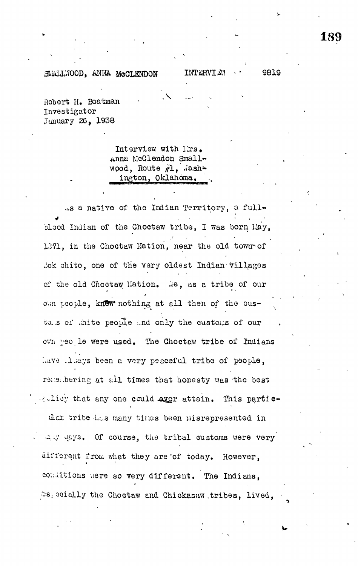## MALLWOOD, ANNA MCCLENDON INTERVIEW · · 9819

Robert II. Boatman Investigator January 26, 1938

> Interview with Mrs. Anna McClendon Smallwood, Route  $f_1$ , dashington, Oklahoma.

.i.s a native of the Indian Territory, a fullblood Indian of the Choctaw tribe, I was born Lay, 1371, in the Choctaw Nation, near the old town of Jok chito, one of the very oldest Indian-villages of the old Choctaw Nation. We, as a tribe of our own people, knew nothing at all then of the custowns of white people and only the customs of our own yeo le were used. The Choctaw tribe of Indians have cleays been a very peaceful tribe of people. reselering at all times that honesty was the best rolisy that any one could aver attain. This partic-

that tribe has many times been misrepresented in any mays. Of course, the tribal customs were very aifferent from what they are of today. However, conditions were so very different. The Indians, As ecially the Choctaw and Chickasaw tribes, lived,

/os; acially the Choctaw and Chickas&w .tribes, lived, •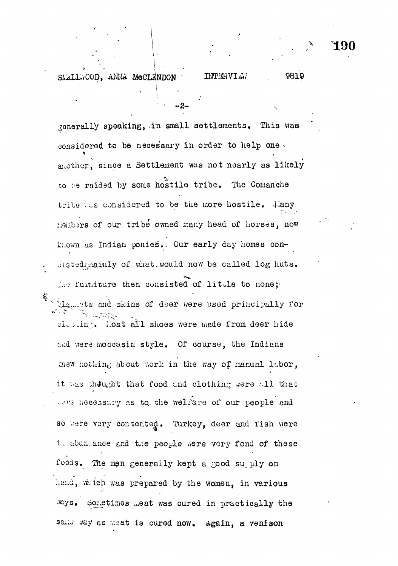## **INTERVIEW**

190

9819

SMALLWOOD, ANNA MCCLENDON

generally speaking, in small settlements. This was considered to be necessary in order to help one. snother, since a Settlement was not nearly as likely to be raided by some hostile tribe. The Comanche tribe the considered to be the more hostile. Lany members of our tribe owned many head of horses, now known as Indian ponies. Our early day homes consisted mainly of what would now be called log huts. The furniture then consisted of little to none; the figuration of the same were used principally for closing. Lost all shoes were made from deer hide and were moccasin style. Of course, the Indians mew nothing about work in the way of manual labor, it was thought that food and clothing were all that were necessary as to the welfare of our people and so were very contented. Turkey, deer and rish were in abundance and the people were very fond of these foods. The men generally kept a good su ply on hand, which was prepared by the women, in various

same way as meat is cured now. Again, a venison

Rys. Sometimes meat was cured in practically the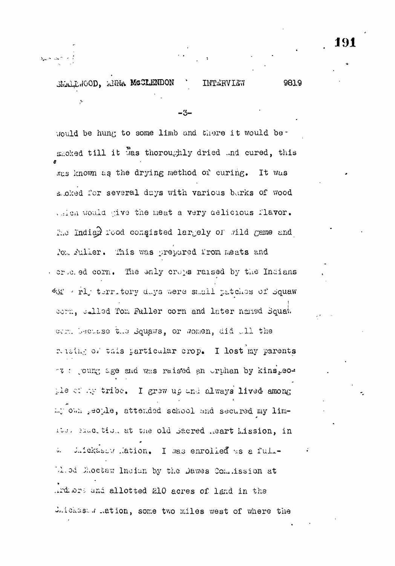## SMALL HOOD, ANNA MCCLENDON 981.9 INTERVIEW

 $-3-$ 

would be hung to some limb and there it would beshoked till it was thoroughly dried and cured, this was known as the drying method of curing. It was sacked for several days with various barks of wood which would give the meat a very delicious flavor. The Indian rood congisted largely of wild game and

foll fuller. This was prepared from meats and or is ed corn. The enly crops raised by the Indians Of will territory days were small patches of Squaw corn, called Tom Fuller corn and later named Squak

com because the Squaws, or women, did all the relating of this particular crop. I lost my parents www.commong.ca and was raised an orphan by kins, eothe of my tribe. I grew up and always lived among my own recyle, attended school and secured my lim-Its. Saucition at the old Sacred meart Lission, in Juickasow Mation. I was enrolled as a full- $\tilde{\mathsf{u}}_{\star}$ M.od Moctaw Indian by the Dawes Commission at Ardiors and allotted 210 acres of land in the Juickast . Ation, some two miles west of where the